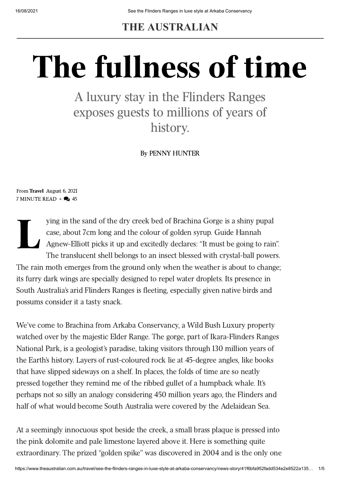**THE AUSTRALIAN**

# The fullness of time

A luxury stay in the Flinders Ranges exposes guests to millions of years of history.

By [PENNY HUNTER](https://www.theaustralian.com.au/author/Penny+Hunter)

From [Travel](https://www.theaustralian.com.au/travel) August 6, 2021 7 MINUTE READ  $\bullet$   $\bullet$  45

L ying in the sand of the dry creek bed of Brachina Gorge is a shiny pupal case, about 7cm long and the colour of golden syrup. Guide Hannah Agnew-Elliott picks it up and excitedly declares: "It must be going to rain". The translucent shell belongs to an insect blessed with crystal-ball powers. The rain moth emerges from the ground only when the weather is about to change; its furry dark wings are specially designed to repel water droplets. Its presence in South Australia's arid Flinders Ranges is fleeting, especially given native birds and possums consider it a tasty snack.

We've come to Brachina from Arkaba Conservancy, a Wild Bush Luxury property watched over by the majestic Elder Range. The gorge, part of Ikara-Flinders Ranges National Park, is a geologist's paradise, taking visitors through 130 million years of the Earth's history. Layers of rust-coloured rock lie at 45-degree angles, like books that have slipped sideways on a shelf. In places, the folds of time are so neatly pressed together they remind me of the ribbed gullet of a humpback whale. It's perhaps not so silly an analogy considering 450 million years ago, the Flinders and half of what would become South Australia were covered by the Adelaidean Sea.

At a seemingly innocuous spot beside the creek, a small brass plaque is pressed into the pink dolomite and pale limestone layered above it. Here is something quite extraordinary. The prized "golden spike" was discovered in 2004 and is the only one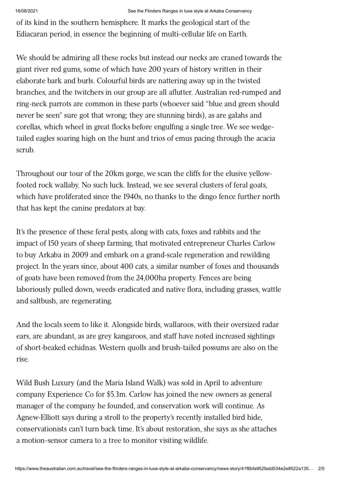of its kind in the southern hemisphere. It marks the geological start of the Ediacaran period, in essence the beginning of multi-cellular life on Earth.

We should be admiring all these rocks but instead our necks are craned towards the giant river red gums, some of which have 200 years of history written in their elaborate bark and burls. Colourful birds are nattering away up in the twisted branches, and the twitchers in our group are all aflutter. Australian red-rumped and ring-neck parrots are common in these parts (whoever said "blue and green should never be seen" sure got that wrong; they are stunning birds), as are galahs and corellas, which wheel in great flocks before engulfing a single tree. We see wedgetailed eagles soaring high on the hunt and trios of emus pacing through the acacia scrub.

Throughout our tour of the 20km gorge, we scan the cliffs for the elusive yellowfooted rock wallaby. No such luck. Instead, we see several clusters of feral goats, which have proliferated since the 1940s, no thanks to the dingo fence further north that has kept the canine predators at bay.

It's the presence of these feral pests, along with cats, foxes and rabbits and the impact of 150 years of sheep farming, that motivated entrepreneur Charles Carlow to buy Arkaba in 2009 and embark on a grand-scale regeneration and rewilding project. In the years since, about 400 cats, a similar number of foxes and thousands of goats have been removed from the 24,000ha property. Fences are being laboriously pulled down, weeds eradicated and native flora, including grasses, wattle and saltbush, are regenerating.

And the locals seem to like it. Alongside birds, wallaroos, with their oversized radar ears, are abundant, as are grey kangaroos, and staff have noted increased sightings of short-beaked echidnas. Western quolls and brush-tailed possums are also on the rise.

Wild Bush Luxury (and the Maria Island Walk) was sold in April to adventure company Experience Co for \$5.3m. Carlow has joined the new owners as general manager of the company he founded, and conservation work will continue. As Agnew-Elliott says during a stroll to the property's recently installed bird hide, conservationists can't turn back time. It's about restoration, she says as she attaches a motion-sensor camera to a tree to monitor visiting wildlife.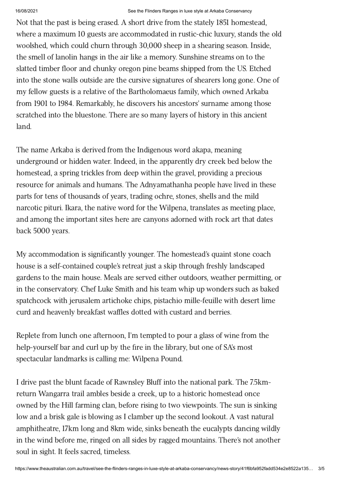#### 16/08/2021 See the Flinders Ranges in luxe style at Arkaba Conservancy

Not that the past is being erased. A short drive from the stately 1851 homestead, where a maximum 10 guests are accommodated in rustic-chic luxury, stands the old woolshed, which could churn through 30,000 sheep in a shearing season. Inside, the smell of lanolin hangs in the air like a memory. Sunshine streams on to the slatted timber floor and chunky oregon pine beams shipped from the US. Etched into the stone walls outside are the cursive signatures of shearers long gone. One of my fellow guests is a relative of the Bartholomaeus family, which owned Arkaba from 1901 to 1984. Remarkably, he discovers his ancestors' surname among those scratched into the bluestone. There are so many layers of history in this ancient land.

The name Arkaba is derived from the Indigenous word akapa, meaning underground or hidden water. Indeed, in the apparently dry creek bed below the homestead, a spring trickles from deep within the gravel, providing a precious resource for animals and humans. The Adnyamathanha people have lived in these parts for tens of thousands of years, trading ochre, stones, shells and the mild narcotic pituri. Ikara, the native word for the Wilpena, translates as meeting place, and among the important sites here are canyons adorned with rock art that dates back 5000 years.

My accommodation is significantly younger. The homestead's quaint stone coach house is a self-contained couple's retreat just a skip through freshly landscaped gardens to the main house. Meals are served either outdoors, weather permitting, or in the conservatory. Chef Luke Smith and his team whip up wonders such as baked spatchcock with jerusalem artichoke chips, pistachio mille-feuille with desert lime curd and heavenly breakfast waffles dotted with custard and berries.

Replete from lunch one afternoon, I'm tempted to pour a glass of wine from the help-yourself bar and curl up by the fire in the library, but one of SA's most spectacular landmarks is calling me: Wilpena Pound.

I drive past the blunt facade of Rawnsley Bluff into the national park. The 7.5kmreturn Wangarra trail ambles beside a creek, up to a historic homestead once owned by the Hill farming clan, before rising to two viewpoints. The sun is sinking low and a brisk gale is blowing as I clamber up the second lookout. A vast natural amphitheatre, 17km long and 8km wide, sinks beneath the eucalypts dancing wildly in the wind before me, ringed on all sides by ragged mountains. There's not another soul in sight. It feels sacred, timeless.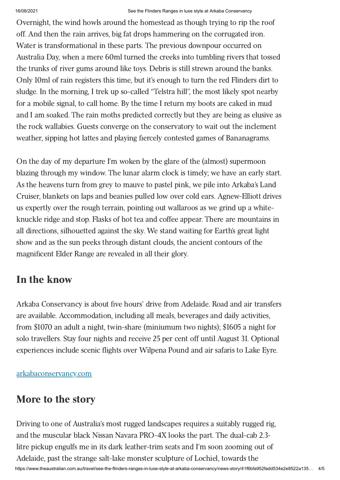Overnight, the wind howls around the homestead as though trying to rip the roof off. And then the rain arrives, big fat drops hammering on the corrugated iron. Water is transformational in these parts. The previous downpour occurred on Australia Day, when a mere 60ml turned the creeks into tumbling rivers that tossed the trunks of river gums around like toys. Debris is still strewn around the banks. Only 10ml of rain registers this time, but it's enough to turn the red Flinders dirt to sludge. In the morning, I trek up so-called "Telstra hill", the most likely spot nearby for a mobile signal, to call home. By the time I return my boots are caked in mud and I am soaked. The rain moths predicted correctly but they are being as elusive as the rock wallabies. Guests converge on the conservatory to wait out the inclement weather, sipping hot lattes and playing fiercely contested games of Bananagrams.

On the day of my departure I'm woken by the glare of the (almost) supermoon blazing through my window. The lunar alarm clock is timely; we have an early start. As the heavens turn from grey to mauve to pastel pink, we pile into Arkaba's Land Cruiser, blankets on laps and beanies pulled low over cold ears. Agnew-Elliott drives us expertly over the rough terrain, pointing out wallaroos as we grind up a whiteknuckle ridge and stop. Flasks of hot tea and coffee appear. There are mountains in all directions, silhouetted against the sky. We stand waiting for Earth's great light show and as the sun peeks through distant clouds, the ancient contours of the magnificent Elder Range are revealed in all their glory.

# In the know

Arkaba Conservancy is about five hours' drive from Adelaide. Road and air transfers are available. Accommodation, including all meals, beverages and daily activities, from \$1070 an adult a night, twin-share (miniumum two nights); \$1605 a night for solo travellers. Stay four nights and receive 25 per cent off until August 31. Optional experiences include scenic flights over Wilpena Pound and air safaris to Lake Eyre.

[arkabaconservancy.com](https://www.arkabaconservancy.com/)

# More to the story

https://www.theaustralian.com.au/travel/see-the-flinders-ranges-in-luxe-style-at-arkaba-conservancy/news-story/41f6bfa952fadd534e2e8522a135… 4/5 Driving to one of Australia's most rugged landscapes requires a suitably rugged rig, and the muscular black Nissan Navara PRO-4X looks the part. The dual-cab 2.3 litre pickup engulfs me in its dark leather-trim seats and I'm soon zooming out of Adelaide, past the strange salt-lake monster sculpture of Lochiel, towards the